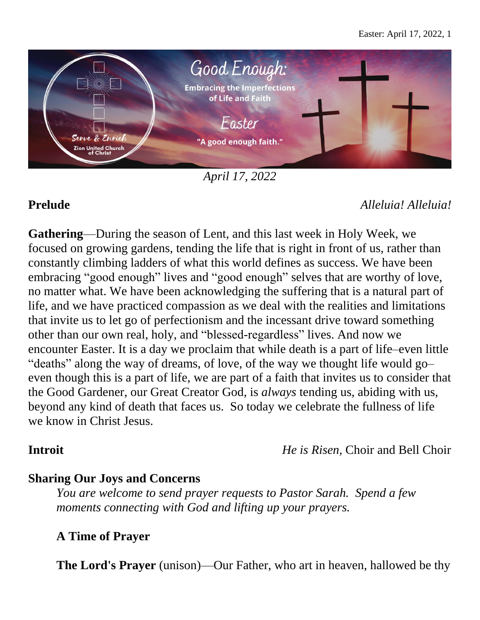

*April 17, 2022*

**Prelude** *Alleluia! Alleluia!*

**Gathering**—During the season of Lent, and this last week in Holy Week, we focused on growing gardens, tending the life that is right in front of us, rather than constantly climbing ladders of what this world defines as success. We have been embracing "good enough" lives and "good enough" selves that are worthy of love, no matter what. We have been acknowledging the suffering that is a natural part of life, and we have practiced compassion as we deal with the realities and limitations that invite us to let go of perfectionism and the incessant drive toward something other than our own real, holy, and "blessed-regardless" lives. And now we encounter Easter. It is a day we proclaim that while death is a part of life–even little "deaths" along the way of dreams, of love, of the way we thought life would go– even though this is a part of life, we are part of a faith that invites us to consider that the Good Gardener, our Great Creator God, is *always* tending us, abiding with us, beyond any kind of death that faces us. So today we celebrate the fullness of life we know in Christ Jesus.

**Introit** *He is Risen,* Choir and Bell Choir

# **Sharing Our Joys and Concerns**

*You are welcome to send prayer requests to Pastor Sarah. Spend a few moments connecting with God and lifting up your prayers.*

# **A Time of Prayer**

**The Lord's Prayer** (unison)—Our Father, who art in heaven, hallowed be thy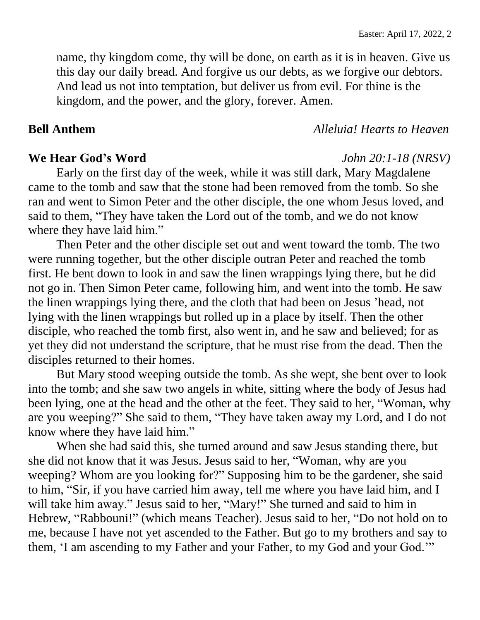name, thy kingdom come, thy will be done, on earth as it is in heaven. Give us this day our daily bread. And forgive us our debts, as we forgive our debtors. And lead us not into temptation, but deliver us from evil. For thine is the kingdom, and the power, and the glory, forever. Amen.

### **Bell Anthem** *Alleluia! Hearts to Heaven*

### **We Hear God's Word** *John 20:1-18 (NRSV)*

Early on the first day of the week, while it was still dark, Mary Magdalene came to the tomb and saw that the stone had been removed from the tomb. So she ran and went to Simon Peter and the other disciple, the one whom Jesus loved, and said to them, "They have taken the Lord out of the tomb, and we do not know where they have laid him."

Then Peter and the other disciple set out and went toward the tomb. The two were running together, but the other disciple outran Peter and reached the tomb first. He bent down to look in and saw the linen wrappings lying there, but he did not go in. Then Simon Peter came, following him, and went into the tomb. He saw the linen wrappings lying there, and the cloth that had been on Jesus 'head, not lying with the linen wrappings but rolled up in a place by itself. Then the other disciple, who reached the tomb first, also went in, and he saw and believed; for as yet they did not understand the scripture, that he must rise from the dead. Then the disciples returned to their homes.

But Mary stood weeping outside the tomb. As she wept, she bent over to look into the tomb; and she saw two angels in white, sitting where the body of Jesus had been lying, one at the head and the other at the feet. They said to her, "Woman, why are you weeping?" She said to them, "They have taken away my Lord, and I do not know where they have laid him."

When she had said this, she turned around and saw Jesus standing there, but she did not know that it was Jesus. Jesus said to her, "Woman, why are you weeping? Whom are you looking for?" Supposing him to be the gardener, she said to him, "Sir, if you have carried him away, tell me where you have laid him, and I will take him away." Jesus said to her, "Mary!" She turned and said to him in Hebrew, "Rabbouni!" (which means Teacher). Jesus said to her, "Do not hold on to me, because I have not yet ascended to the Father. But go to my brothers and say to them, 'I am ascending to my Father and your Father, to my God and your God.'"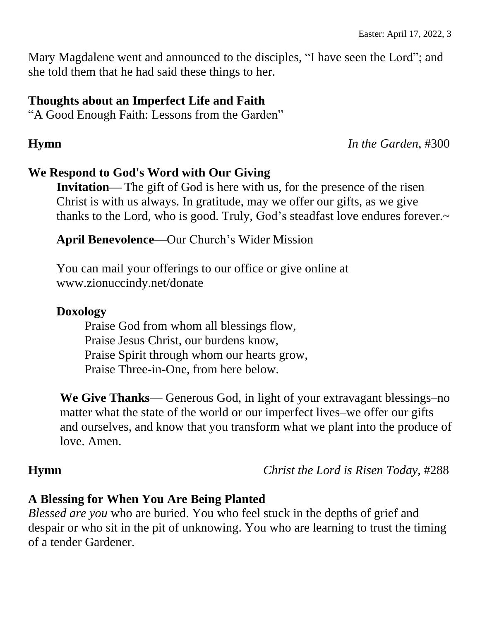Mary Magdalene went and announced to the disciples, "I have seen the Lord"; and she told them that he had said these things to her.

# **Thoughts about an Imperfect Life and Faith**

"A Good Enough Faith: Lessons from the Garden"

**Hymn** *In the Garden*, #300

## **We Respond to God's Word with Our Giving**

**Invitation—** The gift of God is here with us, for the presence of the risen Christ is with us always. In gratitude, may we offer our gifts, as we give thanks to the Lord, who is good. Truly, God's steadfast love endures forever.~

**April Benevolence**—Our Church's Wider Mission

You can mail your offerings to our office or give online at www.zionuccindy.net/donate

## **Doxology**

Praise God from whom all blessings flow, Praise Jesus Christ, our burdens know, Praise Spirit through whom our hearts grow, Praise Three-in-One, from here below.

**We Give Thanks**— Generous God, in light of your extravagant blessings–no matter what the state of the world or our imperfect lives–we offer our gifts and ourselves, and know that you transform what we plant into the produce of love. Amen.

**Hymn** *Christ the Lord is Risen Today,* #288

# **A Blessing for When You Are Being Planted**

*Blessed are you* who are buried. You who feel stuck in the depths of grief and despair or who sit in the pit of unknowing. You who are learning to trust the timing of a tender Gardener.